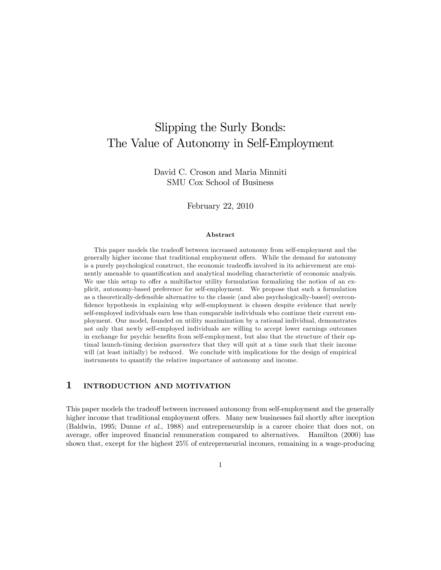# Slipping the Surly Bonds: The Value of Autonomy in Self-Employment

David C. Croson and Maria Minniti SMU Cox School of Business

February 22, 2010

#### Abstract

This paper models the tradeoff between increased autonomy from self-employment and the generally higher income that traditional employment offers. While the demand for autonomy is a purely psychological construct, the economic tradeoffs involved in its achievement are eminently amenable to quantification and analytical modeling characteristic of economic analysis. We use this setup to offer a multifactor utility formulation formalizing the notion of an explicit, autonomy-based preference for self-employment. We propose that such a formulation as a theoretically-defensible alternative to the classic (and also psychologically-based) overconfidence hypothesis in explaining why self-employment is chosen despite evidence that newly self-employed individuals earn less than comparable individuals who continue their current employment. Our model, founded on utility maximization by a rational individual, demonstrates not only that newly self-employed individuals are willing to accept lower earnings outcomes in exchange for psychic benefits from self-employment, but also that the structure of their optimal launch-timing decision guarantees that they will quit at a time such that their income will (at least initially) be reduced. We conclude with implications for the design of empirical instruments to quantify the relative importance of autonomy and income.

### 1 INTRODUCTION AND MOTIVATION

This paper models the tradeoff between increased autonomy from self-employment and the generally higher income that traditional employment offers. Many new businesses fail shortly after inception (Baldwin, 1995; Dunne et al., 1988) and entrepreneurship is a career choice that does not, on average, offer improved financial remuneration compared to alternatives. Hamilton (2000) has shown that, except for the highest 25% of entrepreneurial incomes, remaining in a wage-producing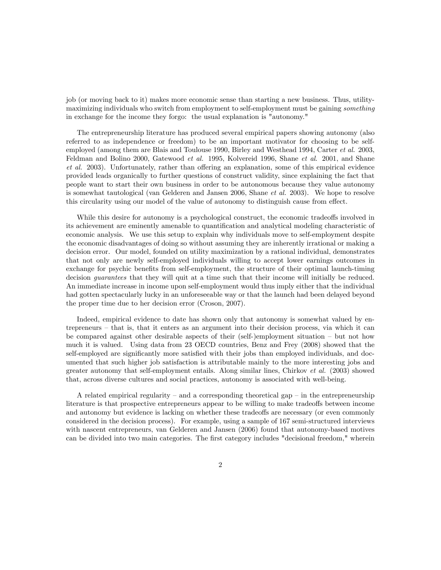job (or moving back to it) makes more economic sense than starting a new business. Thus, utilitymaximizing individuals who switch from employment to self-employment must be gaining *something* in exchange for the income they forgo: the usual explanation is "autonomy."

The entrepreneurship literature has produced several empirical papers showing autonomy (also referred to as independence or freedom) to be an important motivator for choosing to be selfemployed (among them are Blais and Toulouse 1990, Birley and Westhead 1994, Carter et al. 2003, Feldman and Bolino 2000, Gatewood et al. 1995, Kolvereid 1996, Shane et al. 2001, and Shane  $et \ al.$  2003). Unfortunately, rather than offering an explanation, some of this empirical evidence provided leads organically to further questions of construct validity, since explaining the fact that people want to start their own business in order to be autonomous because they value autonomy is somewhat tautological (van Gelderen and Jansen 2006, Shane et al. 2003). We hope to resolve this circularity using our model of the value of autonomy to distinguish cause from effect.

While this desire for autonomy is a psychological construct, the economic tradeoffs involved in its achievement are eminently amenable to quantification and analytical modeling characteristic of economic analysis. We use this setup to explain why individuals move to self-employment despite the economic disadvantages of doing so without assuming they are inherently irrational or making a decision error. Our model, founded on utility maximization by a rational individual, demonstrates that not only are newly self-employed individuals willing to accept lower earnings outcomes in exchange for psychic benefits from self-employment, the structure of their optimal launch-timing decision *guarantees* that they will quit at a time such that their income will initially be reduced. An immediate increase in income upon self-employment would thus imply either that the individual had gotten spectacularly lucky in an unforeseeable way or that the launch had been delayed beyond the proper time due to her decision error (Croson, 2007).

Indeed, empirical evidence to date has shown only that autonomy is somewhat valued by entrepreneurs – that is, that it enters as an argument into their decision process, via which it can be compared against other desirable aspects of their (self-)employment situation  $-$  but not how much it is valued. Using data from 23 OECD countries, Benz and Frey (2008) showed that the self-employed are significantly more satisfied with their jobs than employed individuals, and documented that such higher job satisfaction is attributable mainly to the more interesting jobs and greater autonomy that self-employment entails. Along similar lines, Chirkov et al. (2003) showed that, across diverse cultures and social practices, autonomy is associated with well-being.

A related empirical regularity – and a corresponding theoretical gap – in the entrepreneurship literature is that prospective entrepreneurs appear to be willing to make tradeoffs between income and autonomy but evidence is lacking on whether these tradeoffs are necessary (or even commonly considered in the decision process). For example, using a sample of 167 semi-structured interviews with nascent entrepreneurs, van Gelderen and Jansen (2006) found that autonomy-based motives can be divided into two main categories. The first category includes "decisional freedom," wherein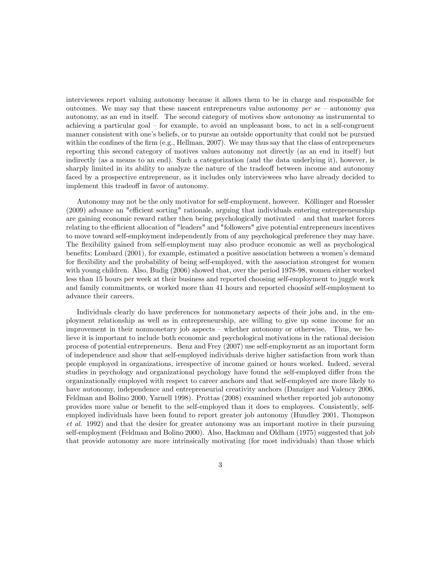interviewees report valuing autonomy because it allows them to be in charge and responsible for outcomes. We may say that these nascent entrepreneurs value autonomy per  $se$  – autonomy qua autonomy, as an end in itself. The second category of motives show autonomy as instrumental to achieving a particular goal – for example, to avoid an unpleasant boss, to act in a self-congruent manner consistent with one's beliefs, or to pursue an outside opportunity that could not be pursued within the confines of the firm (e.g., Hellman, 2007). We may thus say that the class of entrepreneurs reporting this second category of motives values autonomy not directly (as an end in itself) but indirectly (as a means to an end). Such a categorization (and the data underlying it), however, is sharply limited in its ability to analyze the nature of the tradeoff between income and autonomy faced by a prospective entrepreneur, as it includes only interviewees who have already decided to implement this tradeoff in favor of autonomy.

Autonomy may not be the only motivator for self-employment, however. Köllinger and Roessler (2009) advance an "efficient sorting" rationale, arguing that individuals entering entrepreneurship are gaining economic reward rather then being psychologically motivated  $-$  and that market forces relating to the efficient allocation of "leaders" and "followers" give potential entrepreneurs incentives to move toward self-employment independently from of any psychological preference they may have. The flexibility gained from self-employment may also produce economic as well as psychological benefits; Lombard (2001), for example, estimated a positive association between a women's demand for flexibility and the probability of being self-employed, with the association strongest for women with young children. Also, Budig (2006) showed that, over the period 1978-98, women either worked less than 15 hours per week at their business and reported choosing self-employment to juggle work and family commitments, or worked more than 41 hours and reported choosinf self-employment to advance their careers.

Individuals clearly do have preferences for nonmonetary aspects of their jobs and, in the employment relationship as well as in entrepreneurship, are willing to give up some income for an improvement in their nonmonetary job aspects – whether autonomy or otherwise. Thus, we believe it is important to include both economic and psychological motivations in the rational decision process of potential entrepreneurs. Benz and Frey (2007) use self-employment as an important form of independence and show that self-employed individuals derive higher satisfaction from work than people employed in organizations, irrespective of income gained or hours worked. Indeed, several studies in psychology and organizational psychology have found the self-employed differ from the organizationally employed with respect to career anchors and that self-employed are more likely to have autonomy, independence and entrepreneurial creativity anchors (Danziger and Valency 2006, Feldman and Bolino 2000, Yarnell 1998). Prottas (2008) examined whether reported job autonomy provides more value or benefit to the self-employed than it does to employees. Consistently, selfemployed individuals have been found to report greater job autonomy (Hundley 2001, Thompson et al. 1992) and that the desire for greater autonomy was an important motive in their pursuing self-employment (Feldman and Bolino 2000). Also, Hackman and Oldham (1975) suggested that job that provide autonomy are more intrinsically motivating (for most individuals) than those which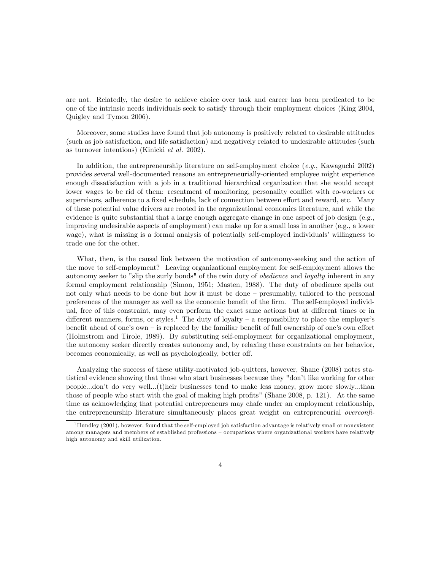are not. Relatedly, the desire to achieve choice over task and career has been predicated to be one of the intrinsic needs individuals seek to satisfy through their employment choices (King 2004, Quigley and Tymon 2006).

Moreover, some studies have found that job autonomy is positively related to desirable attitudes (such as job satisfaction, and life satisfaction) and negatively related to undesirable attitudes (such as turnover intentions) (Kinicki et al. 2002).

In addition, the entrepreneurship literature on self-employment choice  $(e.g., Kawaguchi 2002)$ provides several well-documented reasons an entrepreneurially-oriented employee might experience enough dissatisfaction with a job in a traditional hierarchical organization that she would accept lower wages to be rid of them: resentment of monitoring, personality conflict with co-workers or supervisors, adherence to a fixed schedule, lack of connection between effort and reward, etc. Many of these potential value drivers are rooted in the organizational economics literature, and while the evidence is quite substantial that a large enough aggregate change in one aspect of job design (e.g., improving undesirable aspects of employment) can make up for a small loss in another (e.g., a lower wage), what is missing is a formal analysis of potentially self-employed individuals' willingness to trade one for the other.

What, then, is the causal link between the motivation of autonomy-seeking and the action of the move to self-employment? Leaving organizational employment for self-employment allows the autonomy seeker to "slip the surly bonds" of the twin duty of *obedience* and *loyalty* inherent in any formal employment relationship (Simon, 1951; Masten, 1988). The duty of obedience spells out not only what needs to be done but how it must be done – presumably, tailored to the personal preferences of the manager as well as the economic benefit of the firm. The self-employed individual, free of this constraint, may even perform the exact same actions but at different times or in different manners, forms, or styles.<sup>1</sup> The duty of loyalty  $-$  a responsibility to place the employer's benefit ahead of one's own  $-$  is replaced by the familiar benefit of full ownership of one's own effort (Holmstrom and Tirole, 1989). By substituting self-employment for organizational employment, the autonomy seeker directly creates autonomy and, by relaxing these constraints on her behavior, becomes economically, as well as psychologically, better off.

Analyzing the success of these utility-motivated job-quitters, however, Shane (2008) notes statistical evidence showing that those who start businesses because they "donít like working for other people...donít do very well...(t)heir businesses tend to make less money, grow more slowly...than those of people who start with the goal of making high profits" (Shane 2008, p. 121). At the same time as acknowledging that potential entrepreneurs may chafe under an employment relationship, the entrepreneurship literature simultaneously places great weight on entrepreneurial *overconfi*-

 $1$ Hundley (2001), however, found that the self-employed job satisfaction advantage is relatively small or nonexistent among managers and members of established professions – occupations where organizational workers have relatively high autonomy and skill utilization.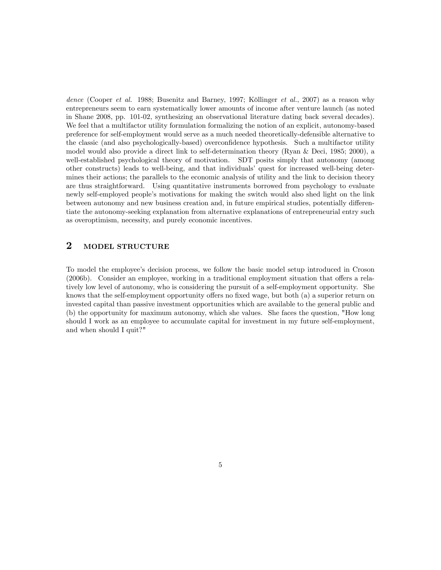dence (Cooper et al. 1988; Busenitz and Barney, 1997; Köllinger et al., 2007) as a reason why entrepreneurs seem to earn systematically lower amounts of income after venture launch (as noted in Shane 2008, pp. 101-02, synthesizing an observational literature dating back several decades). We feel that a multifactor utility formulation formalizing the notion of an explicit, autonomy-based preference for self-employment would serve as a much needed theoretically-defensible alternative to the classic (and also psychologically-based) overconfidence hypothesis. Such a multifactor utility model would also provide a direct link to self-determination theory (Ryan & Deci, 1985; 2000), a well-established psychological theory of motivation. SDT posits simply that autonomy (among other constructs) leads to well-being, and that individualsí quest for increased well-being determines their actions; the parallels to the economic analysis of utility and the link to decision theory are thus straightforward. Using quantitative instruments borrowed from psychology to evaluate newly self-employed people's motivations for making the switch would also shed light on the link between autonomy and new business creation and, in future empirical studies, potentially differentiate the autonomy-seeking explanation from alternative explanations of entrepreneurial entry such as overoptimism, necessity, and purely economic incentives.

### 2 MODEL STRUCTURE

To model the employee's decision process, we follow the basic model setup introduced in Croson  $(2006b)$ . Consider an employee, working in a traditional employment situation that offers a relatively low level of autonomy, who is considering the pursuit of a self-employment opportunity. She knows that the self-employment opportunity offers no fixed wage, but both (a) a superior return on invested capital than passive investment opportunities which are available to the general public and (b) the opportunity for maximum autonomy, which she values. She faces the question, "How long should I work as an employee to accumulate capital for investment in my future self-employment, and when should I quit?"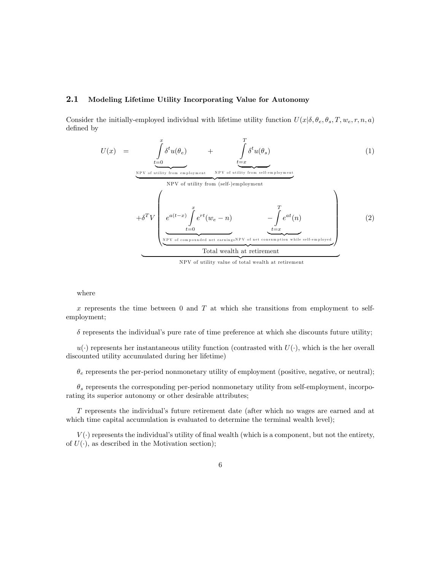#### 2.1 Modeling Lifetime Utility Incorporating Value for Autonomy

Consider the initially-employed individual with lifetime utility function  $U(x|\delta, \theta_e, \theta_s, T, w_e, r, n, a)$ defined by

$$
U(x) = \underbrace{\int_{t=0}^{x} \delta^{t} u(\theta_{e})}_{\text{NPV of utility from employment}} + \underbrace{\int_{t=x}^{T} \delta^{t} u(\theta_{s})}_{\text{NPV of utility from (self-)employment}}
$$
\n
$$
+ \delta^{T} V \underbrace{\int_{t=0}^{x} e^{at(x)} \int_{t=0}^{x} e^{rt}(w_{e} - n)}_{\text{NPV of compound det earnings NPV of net consumption while self-employed}}
$$
\n
$$
U(x) = \underbrace{\int_{t=x}^{T} e^{at}(n)}_{\text{NPV of compounded net earnings NPV of net consumption while self-employed}}
$$
\n(1)

| {z } NPV of utility value of total wealth at retirement

#### where

 $x$  represents the time between 0 and  $T$  at which she transitions from employment to selfemployment;

 $\delta$  represents the individual's pure rate of time preference at which she discounts future utility;

 $u(\cdot)$  represents her instantaneous utility function (contrasted with  $U(\cdot)$ , which is the her overall discounted utility accumulated during her lifetime)

 $\theta_e$  represents the per-period nonmonetary utility of employment (positive, negative, or neutral);

 $\theta_s$  represents the corresponding per-period nonmonetary utility from self-employment, incorporating its superior autonomy or other desirable attributes;

T represents the individualís future retirement date (after which no wages are earned and at which time capital accumulation is evaluated to determine the terminal wealth level);

 $V(\cdot)$  represents the individual's utility of final wealth (which is a component, but not the entirety, of  $U(\cdot)$ , as described in the Motivation section);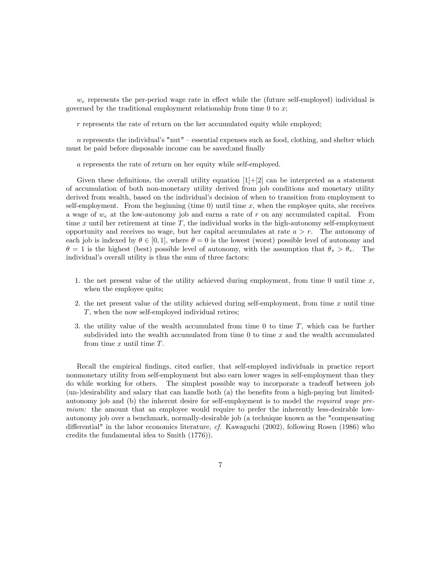$w<sub>e</sub>$  represents the per-period wage rate in effect while the (future self-employed) individual is governed by the traditional employment relationship from time  $0$  to  $x$ ;

 $r$  represents the rate of return on the her accumulated equity while employed;

 $n$  represents the individual's "nut" – essential expenses such as food, clothing, and shelter which must be paid before disposable income can be saved; and finally

a represents the rate of return on her equity while self-employed:

Given these definitions, the overall utility equation  $[1]+[2]$  can be interpreted as a statement of accumulation of both non-monetary utility derived from job conditions and monetary utility derived from wealth, based on the individual's decision of when to transition from employment to self-employment. From the beginning (time  $0$ ) until time x, when the employee quits, she receives a wage of  $w_e$  at the low-autonomy job and earns a rate of r on any accumulated capital. From time  $x$  until her retirement at time  $T$ , the individual works in the high-autonomy self-employment opportunity and receives no wage, but her capital accumulates at rate  $a > r$ . The autonomy of each job is indexed by  $\theta \in [0, 1]$ , where  $\theta = 0$  is the lowest (worst) possible level of autonomy and  $\theta = 1$  is the highest (best) possible level of autonomy, with the assumption that  $\theta_s > \theta_e$ . The  $\theta = 1$  is the highest (best) possible level of autonomy, with the assumption that  $\theta_s > \theta_e$ . individual's overall utility is thus the sum of three factors:

- 1. the net present value of the utility achieved during employment, from time  $0$  until time  $x$ , when the employee quits;
- 2. the net present value of the utility achieved during self-employment, from time  $x$  until time T, when the now self-employed individual retires;
- 3. the utility value of the wealth accumulated from time  $0$  to time  $T$ , which can be further subdivided into the wealth accumulated from time  $0$  to time  $x$  and the wealth accumulated from time  $x$  until time  $T$ .

Recall the empirical findings, cited earlier, that self-employed individuals in practice report nonmonetary utility from self-employment but also earn lower wages in self-employment than they do while working for others. The simplest possible way to incorporate a tradeoff between job (un-)desirability and salary that can handle both (a) the benefits from a high-paying but limitedautonomy job and (b) the inherent desire for self-employment is to model the required wage premium: the amount that an employee would require to prefer the inherently less-desirable lowautonomy job over a benchmark, normally-desirable job (a technique known as the "compensating differential" in the labor economics literature,  $cf.$  Kawaguchi (2002), following Rosen (1986) who credits the fundamental idea to Smith (1776)).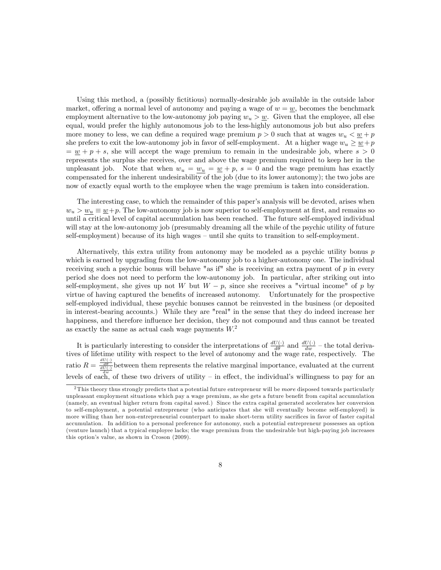Using this method, a (possibly fictitious) normally-desirable job available in the outside labor market, offering a normal level of autonomy and paying a wage of  $w = w$ , becomes the benchmark employment alternative to the low-autonomy job paying  $w_u > w$ . Given that the employee, all else equal, would prefer the highly autonomous job to the less-highly autonomous job but also prefers more money to less, we can define a required wage premium  $p > 0$  such that at wages  $w_u < u p + p$ she prefers to exit the low-autonomy job in favor of self-employment. At a higher wage  $w_u \geq \underline{w} + p$  $= w + p + s$ , she will accept the wage premium to remain in the undesirable job, where  $s > 0$ represents the surplus she receives, over and above the wage premium required to keep her in the unpleasant job. Note that when  $w_u = \underline{w_u} = \underline{w} + p$ ,  $s = 0$  and the wage premium has exactly compensated for the inherent undesirability of the job (due to its lower autonomy); the two jobs are now of exactly equal worth to the employee when the wage premium is taken into consideration.

The interesting case, to which the remainder of this paper's analysis will be devoted, arises when  $w_u > w_u \equiv \underline{w}+p$ . The low-autonomy job is now superior to self-employment at first, and remains so until a critical level of capital accumulation has been reached. The future self-employed individual will stay at the low-autonomy job (presumably dreaming all the while of the psychic utility of future self-employment) because of its high wages  $-$  until she quits to transition to self-employment.

Alternatively, this extra utility from autonomy may be modeled as a psychic utility bonus p which is earned by upgrading from the low-autonomy job to a higher-autonomy one. The individual receiving such a psychic bonus will behave "as if" she is receiving an extra payment of  $p$  in every period she does not need to perform the low-autonomy job. In particular, after striking out into self-employment, she gives up not W but  $W - p$ , since she receives a "virtual income" of p by virtue of having captured the benefits of increased autonomy. Unfortunately for the prospective self-employed individual, these psychic bonuses cannot be reinvested in the business (or deposited in interest-bearing accounts.) While they are "real" in the sense that they do indeed increase her happiness, and therefore influence her decision, they do not compound and thus cannot be treated as exactly the same as actual cash wage payments  $W<sup>2</sup>$ .

It is particularly interesting to consider the interpretations of  $\frac{dU(\cdot)}{d\theta}$  and  $\frac{dU(\cdot)}{dw}$  – the total derivatives of lifetime utility with respect to the level of autonomy and the wage rate, respectively. The ratio  $R = \frac{\frac{dU(\cdot)}{d\theta}}{\frac{dU(\cdot)}{d\theta}}$  between them represents the relative marginal importance, evaluated at the current levels of each, of these two drivers of utility – in effect, the individual's willingness to pay for an

<sup>&</sup>lt;sup>2</sup>This theory thus strongly predicts that a potential future entrepreneur will be *more* disposed towards particularly unpleasant employment situations which pay a wage premium, as she gets a future benefit from capital accumulation (namely, an eventual higher return from capital saved.) Since the extra capital generated accelerates her conversion to self-employment, a potential entrepreneur (who anticipates that she will eventually become self-employed) is more willing than her non-entrepreneurial counterpart to make short-term utility sacrifices in favor of faster capital accumulation. In addition to a personal preference for autonomy, such a potential entrepreneur possesses an option (venture launch) that a typical employee lacks; the wage premium from the undesirable but high-paying job increases this option's value, as shown in Croson (2009).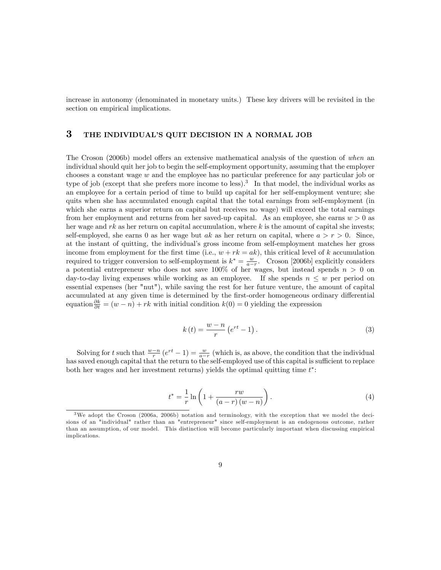increase in autonomy (denominated in monetary units.) These key drivers will be revisited in the section on empirical implications.

### 3 THE INDIVIDUAL'S QUIT DECISION IN A NORMAL JOB

The Croson (2006b) model offers an extensive mathematical analysis of the question of when an individual should quit her job to begin the self-employment opportunity, assuming that the employer chooses a constant wage w and the employee has no particular preference for any particular job or type of job (except that she prefers more income to less).<sup>3</sup> In that model, the individual works as an employee for a certain period of time to build up capital for her self-employment venture; she quits when she has accumulated enough capital that the total earnings from self-employment (in which she earns a superior return on capital but receives no wage) will exceed the total earnings from her employment and returns from her saved-up capital. As an employee, she earns  $w > 0$  as her wage and  $rk$  as her return on capital accumulation, where  $k$  is the amount of capital she invests; self-employed, she earns 0 as her wage but ak as her return on capital, where  $a > r > 0$ . Since, at the instant of quitting, the individualís gross income from self-employment matches her gross income from employment for the first time (i.e.,  $w + rk = ak$ ), this critical level of k accumulation required to trigger conversion to self-employment is  $k^* = \frac{w}{a-r}$ . Croson [2006b] explicitly considers a potential entrepreneur who does not save  $100\%$  of her wages, but instead spends  $n > 0$  on day-to-day living expenses while working as an employee. If she spends  $n \leq w$  per period on essential expenses (her "nut"), while saving the rest for her future venture, the amount of capital accumulated at any given time is determined by the first-order homogeneous ordinary differential equation  $\frac{\partial k}{\partial t} = (w - n) + rk$  with initial condition  $k(0) = 0$  yielding the expression

$$
k(t) = \frac{w - n}{r} \left( e^{rt} - 1 \right). \tag{3}
$$

Solving for t such that  $\frac{w-n}{r}(e^{rt}-1) = \frac{w}{a-r}$  (which is, as above, the condition that the individual has saved enough capital that the return to the self-employed use of this capital is sufficient to replace both her wages and her investment returns) yields the optimal quitting time  $t^*$ :

$$
t^* = \frac{1}{r} \ln \left( 1 + \frac{rw}{(a-r)(w-n)} \right). \tag{4}
$$

<sup>&</sup>lt;sup>3</sup>We adopt the Croson (2006a, 2006b) notation and terminology, with the exception that we model the decisions of an "individual" rather than an "entrepreneur" since self-employment is an endogenous outcome, rather than an assumption, of our model. This distinction will become particularly important when discussing empirical implications.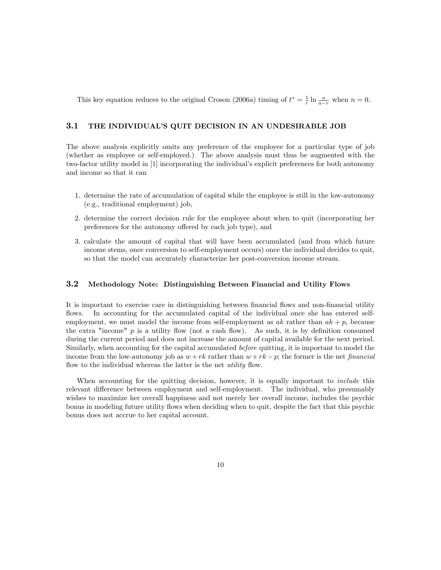This key equation reduces to the original Croson (2006a) timing of  $t^* = \frac{1}{r} \ln \frac{a}{a-r}$  when  $n = 0$ .

#### 3.1 THE INDIVIDUALíS QUIT DECISION IN AN UNDESIRABLE JOB

The above analysis explicitly omits any preference of the employee for a particular type of job (whether as employee or self-employed.) The above analysis must thus be augmented with the two-factor utility model in [1] incorporating the individual's explicit preferences for both autonomy and income so that it can

- 1. determine the rate of accumulation of capital while the employee is still in the low-autonomy (e.g., traditional employment) job,
- 2. determine the correct decision rule for the employee about when to quit (incorporating her preferences for the autonomy offered by each job type), and
- 3. calculate the amount of capital that will have been accumulated (and from which future income stems, once conversion to self-employment occurs) once the individual decides to quit, so that the model can accurately characterize her post-conversion income stream.

#### 3.2 Methodology Note: Distinguishing Between Financial and Utility Flows

It is important to exercise care in distinguishing between financial flows and non-financial utility flows. In accounting for the accumulated capital of the individual once she has entered selfemployment, we must model the income from self-employment as ak rather than  $ak + p$ , because the extra "income"  $p$  is a utility flow (not a cash flow). As such, it is by definition consumed during the current period and does not increase the amount of capital available for the next period. Similarly, when accounting for the capital accumulated *before* quitting, it is important to model the income from the low-autonomy job as  $w + rk$  rather than  $w + rk - p$ ; the former is the net financial flow to the individual whereas the latter is the net utility flow.

When accounting for the quitting decision, however, it is equally important to *include* this relevant difference between employment and self-employment. The individual, who presumably wishes to maximize her overall happiness and not merely her overall income, includes the psychic bonus in modeling future utility flows when deciding when to quit, despite the fact that this psychic bonus does not accrue to her capital account.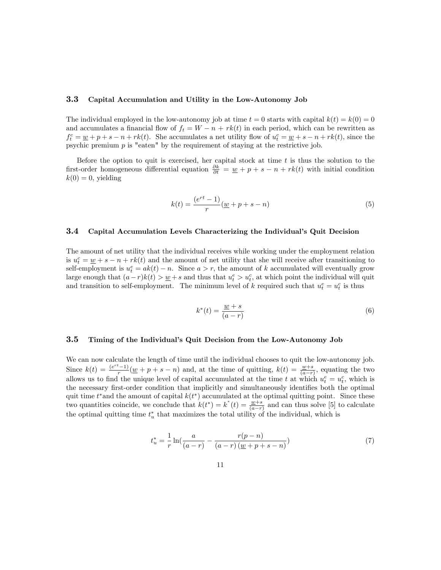#### 3.3 Capital Accumulation and Utility in the Low-Autonomy Job

The individual employed in the low-autonomy job at time  $t = 0$  starts with capital  $k(t) = k(0) = 0$ and accumulates a financial flow of  $f_t = W - n + rk(t)$  in each period, which can be rewritten as  $f_t^c = \underline{w} + p + s - n + rk(t)$ . She accumulates a net utility flow of  $u_t^c = \underline{w} + s - n + rk(t)$ , since the psychic premium  $p$  is "eaten" by the requirement of staying at the restrictive job.

Before the option to quit is exercised, her capital stock at time  $t$  is thus the solution to the first-order homogeneous differential equation  $\frac{\partial k}{\partial t} = \underline{w} + p + s - n + rk(t)$  with initial condition  $k(0) = 0$ , yielding

$$
k(t) = \frac{(e^{rt} - 1)}{r} (\underline{w} + p + s - n)
$$
 (5)

#### 3.4 Capital Accumulation Levels Characterizing the Individual's Quit Decision

The amount of net utility that the individual receives while working under the employment relation is  $u_t^c = \underline{w} + s - n + rk(t)$  and the amount of net utility that she will receive after transitioning to self-employment is  $u_t^e = ak(t) - n$ . Since  $a > r$ , the amount of k accumulated will eventually grow large enough that  $(a-r)k(t) > w+s$  and thus that  $u_t^e > u_t^c$ , at which point the individual will quit and transition to self-employment. The minimum level of k required such that  $u_t^e = u_t^c$  is thus

$$
k^*(t) = \frac{\underline{w} + s}{(a - r)}
$$
\n<sup>(6)</sup>

#### 3.5 Timing of the Individual's Quit Decision from the Low-Autonomy Job

We can now calculate the length of time until the individual chooses to quit the low-autonomy job. Since  $k(t) = \frac{(e^{rt}-1)}{r}(\underline{w}+p+s-n)$  and, at the time of quitting,  $k(t) = \frac{\underline{w}+s}{(a-r)}$ , equating the two allows us to find the unique level of capital accumulated at the time t at which  $u_t^e = u_t^c$ , which is the necessary first-order condition that implicitly and simultaneously identifies both the optimal quit time  $t^*$  and the amount of capital  $k(t^*)$  accumulated at the optimal quitting point. Since these two quantities coincide, we conclude that  $k(t^*) = k^*(t) = \frac{w+s}{(a-r)}$  and can thus solve [5] to calculate the optimal quitting time  $t<sub>u</sub><sup>*</sup>$  that maximizes the total utility of the individual, which is

$$
t_u^* = \frac{1}{r} \ln\left(\frac{a}{(a-r)} - \frac{r(p-n)}{(a-r)\left(\underline{w} + p + s - n\right)}\right) \tag{7}
$$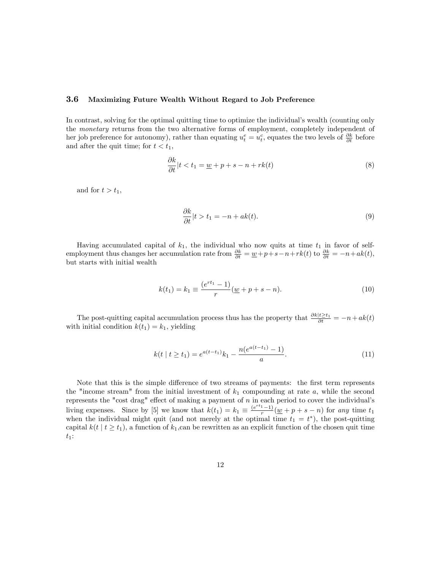#### 3.6 Maximizing Future Wealth Without Regard to Job Preference

In contrast, solving for the optimal quitting time to optimize the individual's wealth (counting only the *monetary* returns from the two alternative forms of employment, completely independent of her job preference for autonomy), rather than equating  $u_t^e = u_t^c$ , equates the two levels of  $\frac{\partial k}{\partial t}$  before and after the quit time; for  $t < t_1$ ,

$$
\frac{\partial k}{\partial t}|t < t_1 = \underline{w} + p + s - n + rk(t) \tag{8}
$$

and for  $t > t_1$ ,

$$
\frac{\partial k}{\partial t}|t > t_1 = -n + ak(t). \tag{9}
$$

Having accumulated capital of  $k_1$ , the individual who now quits at time  $t_1$  in favor of selfemployment thus changes her accumulation rate from  $\frac{\partial k}{\partial t} = \underline{w} + p + s - n + rk(t)$  to  $\frac{\partial k}{\partial t} = -n + ak(t)$ , but starts with initial wealth

$$
k(t_1) = k_1 \equiv \frac{(e^{rt_1} - 1)}{r} (\underline{w} + p + s - n).
$$
 (10)

The post-quitting capital accumulation process thus has the property that  $\frac{\partial k|t\geq t_1}{\partial t} = -n + ak(t)$ with initial condition  $k(t_1) = k_1$ , yielding

$$
k(t \mid t \ge t_1) = e^{a(t-t_1)} k_1 - \frac{n(e^{a(t-t_1)} - 1)}{a}.
$$
\n(11)

Note that this is the simple difference of two streams of payments: the first term represents the "income stream" from the initial investment of  $k_1$  compounding at rate  $a$ , while the second represents the "cost drag" effect of making a payment of  $n$  in each period to cover the individual's living expenses. Since by [5] we know that  $k(t_1) = k_1 \equiv \frac{(e^{rt_1}-1)}{r}(\underline{w}+p+s-n)$  for any time  $t_1$ when the individual might quit (and not merely at the optimal time  $t_1 = t^*$ ), the post-quitting capital  $k(t \mid t \geq t_1)$ , a function of  $k_1$ ,can be rewritten as an explicit function of the chosen quit time  $t_1$ :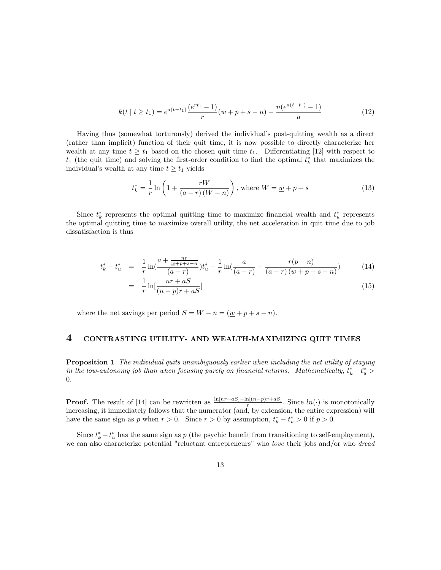$$
k(t \mid t \ge t_1) = e^{a(t-t_1)} \frac{(e^{rt_1} - 1)}{r} (\underline{w} + p + s - n) - \frac{n(e^{a(t-t_1)} - 1)}{a} \tag{12}
$$

Having thus (somewhat torturously) derived the individualís post-quitting wealth as a direct (rather than implicit) function of their quit time, it is now possible to directly characterize her wealth at any time  $t \geq t_1$  based on the chosen quit time  $t_1$ . Differentiating [12] with respect to  $t_1$  (the quit time) and solving the first-order condition to find the optimal  $t_k^*$  that maximizes the individual's wealth at any time  $t \geq t_1$  yields

$$
t_k^* = \frac{1}{r} \ln\left(1 + \frac{rW}{\left(a - r\right)\left(W - n\right)}\right), \text{ where } W = \underline{w} + p + s \tag{13}
$$

Since  $t_k^*$  represents the optimal quitting time to maximize financial wealth and  $t_u^*$  represents the optimal quitting time to maximize overall utility, the net acceleration in quit time due to job dissatisfaction is thus

$$
t_k^* - t_u^* = \frac{1}{r} \ln\left(\frac{a + \frac{nr}{w + p + s - n}}{(a - r)}\right) t_u^* - \frac{1}{r} \ln\left(\frac{a}{(a - r)} - \frac{r(p - n)}{(a - r)\left(\frac{w}{w} + p + s - n\right)}\right) \tag{14}
$$

$$
= \frac{1}{r} \ln \left[ \frac{nr + aS}{(n - p)r + aS} \right] \tag{15}
$$

where the net savings per period  $S = W - n = (\underline{w} + p + s - n)$ .

### 4 CONTRASTING UTILITY- AND WEALTH-MAXIMIZING QUIT TIMES

**Proposition 1** The individual quits unambiguously earlier when including the net utility of staying in the low-autonomy job than when focusing purely on financial returns. Mathematically,  $t_k^* - t_u^* >$ 0:

**Proof.** The result of [14] can be rewritten as  $\frac{\ln[nr+aS]-\ln[(n-p)r+aS]}{r}$ . Since  $ln(·)$  is monotonically increasing, it immediately follows that the numerator (and, by extension, the entire expression) will have the same sign as p when  $r > 0$ . Since  $r > 0$  by assumption,  $t_k^* - t_u^* > 0$  if  $p > 0$ .

Since  $t_k^* - t_u^*$  has the same sign as p (the psychic benefit from transitioning to self-employment), we can also characterize potential "reluctant entrepreneurs" who love their jobs and/or who dread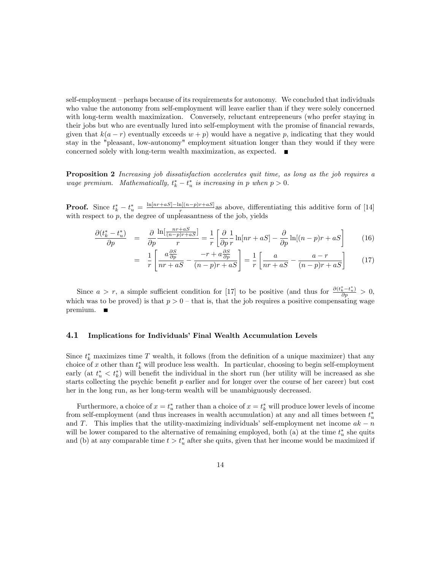self-employment – perhaps because of its requirements for autonomy. We concluded that individuals who value the autonomy from self-employment will leave earlier than if they were solely concerned with long-term wealth maximization. Conversely, reluctant entrepreneurs (who prefer staying in their jobs but who are eventually lured into self-employment with the promise of financial rewards, given that  $k(a - r)$  eventually exceeds  $w + p$ ) would have a negative p, indicating that they would stay in the "pleasant, low-autonomy" employment situation longer than they would if they were concerned solely with long-term wealth maximization, as expected.

Proposition 2 Increasing job dissatisfaction accelerates quit time, as long as the job requires a wage premium. Mathematically,  $t_k^* - t_u^*$  is increasing in p when  $p > 0$ .

**Proof.** Since  $t_k^* - t_u^* = \frac{\ln[n_r + aS] - \ln[(n-p)r + aS]}{r}$  as above, differentiating this additive form of [14] with respect to  $p$ , the degree of unpleasantness of the job, yields

$$
\frac{\partial (t_k^* - t_u^*)}{\partial p} = \frac{\partial}{\partial p} \frac{\ln[\frac{nr + aS}{(n-p)r + aS}]}{r} = \frac{1}{r} \left[ \frac{\partial}{\partial p} \frac{1}{r} \ln[nr + aS] - \frac{\partial}{\partial p} \ln[(n-p)r + aS] \right] \tag{16}
$$

$$
= \frac{1}{r} \left[ \frac{a \frac{\partial S}{\partial p}}{nr + aS} - \frac{-r + a \frac{\partial S}{\partial p}}{(n - p)r + aS} \right] = \frac{1}{r} \left[ \frac{a}{nr + aS} - \frac{a - r}{(n - p)r + aS} \right] \tag{17}
$$

Since  $a > r$ , a simple sufficient condition for [17] to be positive (and thus for  $\frac{\partial (t_k^* - t_u^*)}{\partial p} > 0$ , which was to be proved) is that  $p > 0$  – that is, that the job requires a positive compensating wage premium.

#### 4.1 Implications for Individuals' Final Wealth Accumulation Levels

Since  $t_k^*$  maximizes time T wealth, it follows (from the definition of a unique maximizer) that any choice of x other than  $t_k^*$  will produce less wealth. In particular, choosing to begin self-employment early (at  $t_u^* < t_k^*$ ) will benefit the individual in the short run (her utility will be increased as she starts collecting the psychic benefit  $p$  earlier and for longer over the course of her career) but cost her in the long run, as her long-term wealth will be unambiguously decreased.

Furthermore, a choice of  $x = t_u^*$  rather than a choice of  $x = t_k^*$  will produce lower levels of income from self-employment (and thus increases in wealth accumulation) at any and all times between  $t_u^*$ and T. This implies that the utility-maximizing individuals' self-employment net income  $ak - n$ will be lower compared to the alternative of remaining employed, both (a) at the time  $t<sub>u</sub><sup>*</sup>$  she quits and (b) at any comparable time  $t > t_u^*$  after she quits, given that her income would be maximized if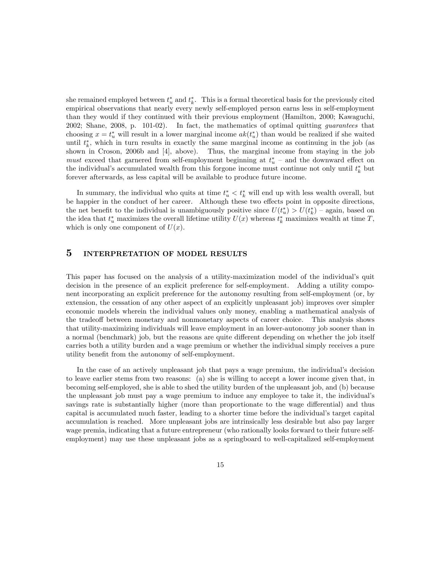she remained employed between  $t<sub>u</sub><sup>*</sup>$  and  $t<sub>k</sub><sup>*</sup>$ . This is a formal theoretical basis for the previously cited empirical observations that nearly every newly self-employed person earns less in self-employment than they would if they continued with their previous employment (Hamilton, 2000; Kawaguchi, 2002; Shane, 2008, p. 101-02). In fact, the mathematics of optimal quitting guarantees that choosing  $x = t_u^*$  will result in a lower marginal income  $ak(t_u^*)$  than would be realized if she waited until  $t_k^*$ , which in turn results in exactly the same marginal income as continuing in the job (as shown in Croson, 2006b and [4], above). Thus, the marginal income from staying in the job must exceed that garnered from self-employment beginning at  $t_u^*$  – and the downward effect on the individual's accumulated wealth from this forgone income must continue not only until  $t_k^*$  but forever afterwards, as less capital will be available to produce future income.

In summary, the individual who quits at time  $t^*_{u} < t^*_{k}$  will end up with less wealth overall, but be happier in the conduct of her career. Although these two effects point in opposite directions, the net benefit to the individual is unambiguously positive since  $U(t_u^*) > U(t_k^*)$  – again, based on the idea that  $t<sub>u</sub><sup>*</sup>$  maximizes the overall lifetime utility  $U(x)$  whereas  $t<sub>k</sub><sup>*</sup>$  maximizes wealth at time T, which is only one component of  $U(x)$ .

### 5 INTERPRETATION OF MODEL RESULTS

This paper has focused on the analysis of a utility-maximization model of the individual's quit decision in the presence of an explicit preference for self-employment. Adding a utility component incorporating an explicit preference for the autonomy resulting from self-employment (or, by extension, the cessation of any other aspect of an explicitly unpleasant job) improves over simpler economic models wherein the individual values only money, enabling a mathematical analysis of the tradeoff between monetary and nonmonetary aspects of career choice. This analysis shows that utility-maximizing individuals will leave employment in an lower-autonomy job sooner than in a normal (benchmark) job, but the reasons are quite different depending on whether the job itself carries both a utility burden and a wage premium or whether the individual simply receives a pure utility benefit from the autonomy of self-employment.

In the case of an actively unpleasant job that pays a wage premium, the individual's decision to leave earlier stems from two reasons: (a) she is willing to accept a lower income given that, in becoming self-employed, she is able to shed the utility burden of the unpleasant job, and (b) because the unpleasant job must pay a wage premium to induce any employee to take it, the individualís savings rate is substantially higher (more than proportionate to the wage differential) and thus capital is accumulated much faster, leading to a shorter time before the individual's target capital accumulation is reached. More unpleasant jobs are intrinsically less desirable but also pay larger wage premia, indicating that a future entrepreneur (who rationally looks forward to their future selfemployment) may use these unpleasant jobs as a springboard to well-capitalized self-employment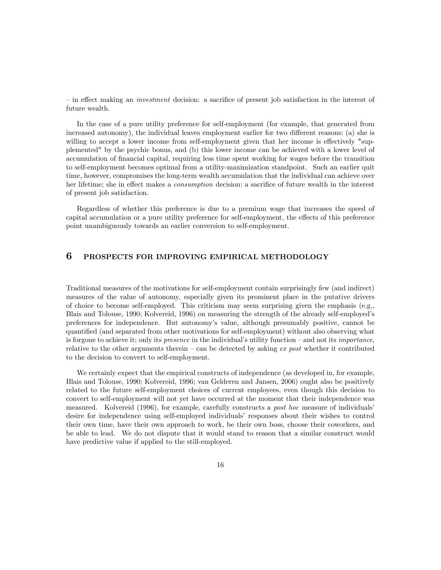– in effect making an *investment* decision: a sacrifice of present job satisfaction in the interest of future wealth.

In the case of a pure utility preference for self-employment (for example, that generated from increased autonomy), the individual leaves employment earlier for two different reasons: (a) she is willing to accept a lower income from self-employment given that her income is effectively "supplemented" by the psychic bonus, and (b) this lower income can be achieved with a lower level of accumulation of financial capital, requiring less time spent working for wages before the transition to self-employment becomes optimal from a utility-maximization standpoint. Such an earlier quit time, however, compromises the long-term wealth accumulation that the individual can achieve over her lifetime; she in effect makes a *consumption* decision: a sacrifice of future wealth in the interest of present job satisfaction.

Regardless of whether this preference is due to a premium wage that increases the speed of capital accumulation or a pure utility preference for self-employment, the effects of this preference point unambiguously towards an earlier conversion to self-employment.

### 6 PROSPECTS FOR IMPROVING EMPIRICAL METHODOLOGY

Traditional measures of the motivations for self-employment contain surprisingly few (and indirect) measures of the value of autonomy, especially given its prominent place in the putative drivers of choice to become self-employed. This criticism may seem surprising given the emphasis (e.g., Blais and Tolouse, 1990; Kolvereid, 1996) on measuring the strength of the already self-employedís preferences for independence. But autonomyís value, although presumably positive, cannot be quantified (and separated from other motivations for self-employment) without also observing what is forgone to achieve it; only its *presence* in the individual's utility function  $-\text{ and not its importance}$ , relative to the other arguments therein  $-\text{can}$  be detected by asking ex post whether it contributed to the decision to convert to self-employment.

We certainly expect that the empirical constructs of independence (as developed in, for example, Blais and Tolouse, 1990; Kolvereid, 1996; van Gelderen and Jansen, 2006) ought also be positively related to the future self-employment choices of current employees, even though this decision to convert to self-employment will not yet have occurred at the moment that their independence was measured. Kolvereid (1996), for example, carefully constructs a *post hoc* measure of individuals<sup>7</sup> desire for independence using self-employed individuals' responses about their wishes to control their own time, have their own approach to work, be their own boss, choose their coworkers, and be able to lead. We do not dispute that it would stand to reason that a similar construct would have predictive value if applied to the still-employed.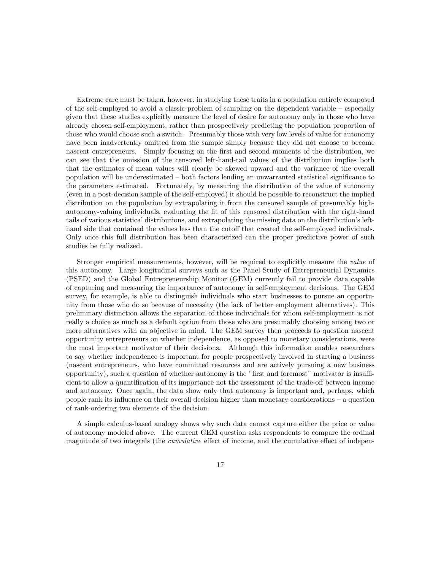Extreme care must be taken, however, in studying these traits in a population entirely composed of the self-employed to avoid a classic problem of sampling on the dependent variable  $-$  especially given that these studies explicitly measure the level of desire for autonomy only in those who have already chosen self-employment, rather than prospectively predicting the population proportion of those who would choose such a switch. Presumably those with very low levels of value for autonomy have been inadvertently omitted from the sample simply because they did not choose to become nascent entrepreneurs. Simply focusing on the first and second moments of the distribution, we can see that the omission of the censored left-hand-tail values of the distribution implies both that the estimates of mean values will clearly be skewed upward and the variance of the overall population will be underestimated – both factors lending an unwarranted statistical significance to the parameters estimated. Fortunately, by measuring the distribution of the value of autonomy (even in a post-decision sample of the self-employed) it should be possible to reconstruct the implied distribution on the population by extrapolating it from the censored sample of presumably highautonomy-valuing individuals, evaluating the fit of this censored distribution with the right-hand tails of various statistical distributions, and extrapolating the missing data on the distributionís lefthand side that contained the values less than the cutoff that created the self-employed individuals. Only once this full distribution has been characterized can the proper predictive power of such studies be fully realized.

Stronger empirical measurements, however, will be required to explicitly measure the value of this autonomy. Large longitudinal surveys such as the Panel Study of Entrepreneurial Dynamics (PSED) and the Global Entrepreneurship Monitor (GEM) currently fail to provide data capable of capturing and measuring the importance of autonomy in self-employment decisions. The GEM survey, for example, is able to distinguish individuals who start businesses to pursue an opportunity from those who do so because of necessity (the lack of better employment alternatives). This preliminary distinction allows the separation of those individuals for whom self-employment is not really a choice as much as a default option from those who are presumably choosing among two or more alternatives with an objective in mind. The GEM survey then proceeds to question nascent opportunity entrepreneurs on whether independence, as opposed to monetary considerations, were the most important motivator of their decisions. Although this information enables researchers to say whether independence is important for people prospectively involved in starting a business (nascent entrepreneurs, who have committed resources and are actively pursuing a new business opportunity), such a question of whether autonomy is the "first and foremost" motivator is insufficient to allow a quantification of its importance not the assessment of the trade-off between income and autonomy. Once again, the data show only that autonomy is important and, perhaps, which people rank its influence on their overall decision higher than monetary considerations  $-$  a question of rank-ordering two elements of the decision.

A simple calculus-based analogy shows why such data cannot capture either the price or value of autonomy modeled above. The current GEM question asks respondents to compare the ordinal magnitude of two integrals (the *cumulative* effect of income, and the cumulative effect of indepen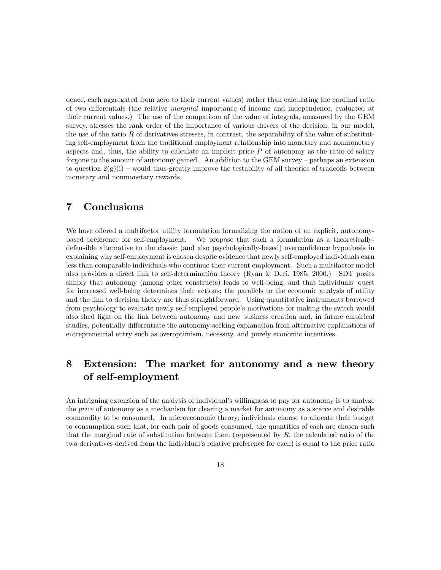dence, each aggregated from zero to their current values) rather than calculating the cardinal ratio of two differentials (the relative *marginal* importance of income and independence, evaluated at their current values.) The use of the comparison of the value of integrals, measured by the GEM survey, stresses the rank order of the importance of various drivers of the decision; in our model, the use of the ratio  $R$  of derivatives stresses, in contrast, the separability of the value of substituting self-employment from the traditional employment relationship into monetary and nonmonetary aspects and, thus, the ability to calculate an implicit price  $P$  of autonomy as the ratio of salary forgone to the amount of autonomy gained. An addition to the GEM survey – perhaps an extension to question  $2(g)(i)$  – would thus greatly improve the testability of all theories of tradeoffs between monetary and nonmonetary rewards.

## 7 Conclusions

We have offered a multifactor utility formulation formalizing the notion of an explicit, autonomybased preference for self-employment. We propose that such a formulation as a theoreticallydefensible alternative to the classic (and also psychologically-based) overconfidence hypothesis in explaining why self-employment is chosen despite evidence that newly self-employed individuals earn less than comparable individuals who continue their current employment. Such a multifactor model also provides a direct link to self-determination theory (Ryan & Deci, 1985; 2000.) SDT posits simply that autonomy (among other constructs) leads to well-being, and that individuals' quest for increased well-being determines their actions; the parallels to the economic analysis of utility and the link to decision theory are thus straightforward. Using quantitative instruments borrowed from psychology to evaluate newly self-employed people's motivations for making the switch would also shed light on the link between autonomy and new business creation and, in future empirical studies, potentially differentiate the autonomy-seeking explanation from alternative explanations of entrepreneurial entry such as overoptimism, necessity, and purely economic incentives.

# 8 Extension: The market for autonomy and a new theory of self-employment

An intriguing extension of the analysis of individual's willingness to pay for autonomy is to analyze the *price* of autonomy as a mechanism for clearing a market for autonomy as a scarce and desirable commodity to be consumed. In microeconomic theory, individuals choose to allocate their budget to consumption such that, for each pair of goods consumed, the quantities of each are chosen such that the marginal rate of substitution between them (represented by  $R$ , the calculated ratio of the two derivatives derived from the individual's relative preference for each) is equal to the price ratio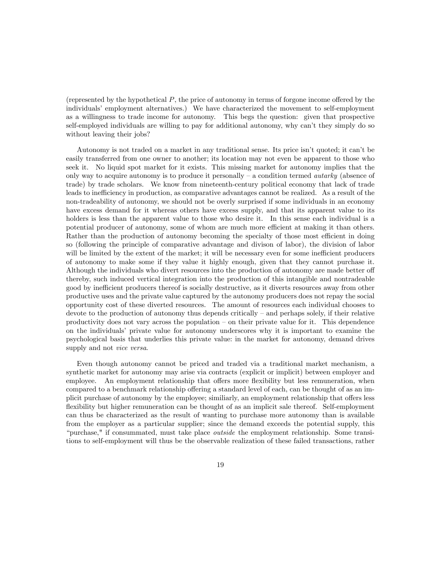(represented by the hypothetical  $P$ , the price of autonomy in terms of forgone income offered by the individuals' employment alternatives.) We have characterized the movement to self-employment as a willingness to trade income for autonomy. This begs the question: given that prospective self-employed individuals are willing to pay for additional autonomy, why can't they simply do so without leaving their jobs?

Autonomy is not traded on a market in any traditional sense. Its price isn't quoted; it can't be easily transferred from one owner to another; its location may not even be apparent to those who seek it. No liquid spot market for it exists. This missing market for autonomy implies that the only way to acquire autonomy is to produce it personally  $-$  a condition termed *autarky* (absence of trade) by trade scholars. We know from nineteenth-century political economy that lack of trade leads to inefficiency in production, as comparative advantages cannot be realized. As a result of the non-tradeability of autonomy, we should not be overly surprised if some individuals in an economy have excess demand for it whereas others have excess supply, and that its apparent value to its holders is less than the apparent value to those who desire it. In this sense each individual is a potential producer of autonomy, some of whom are much more efficient at making it than others. Rather than the production of autonomy becoming the specialty of those most efficient in doing so (following the principle of comparative advantage and divison of labor), the division of labor will be limited by the extent of the market; it will be necessary even for some inefficient producers of autonomy to make some if they value it highly enough, given that they cannot purchase it. Although the individuals who divert resources into the production of autonomy are made better of thereby, such induced vertical integration into the production of this intangible and nontradeable good by inefficient producers thereof is socially destructive, as it diverts resources away from other productive uses and the private value captured by the autonomy producers does not repay the social opportunity cost of these diverted resources. The amount of resources each individual chooses to devote to the production of autonomy thus depends critically  $-$  and perhaps solely, if their relative productivity does not vary across the population  $-$  on their private value for it. This dependence on the individualsí private value for autonomy underscores why it is important to examine the psychological basis that underlies this private value: in the market for autonomy, demand drives supply and not *vice versa*.

Even though autonomy cannot be priced and traded via a traditional market mechanism, a synthetic market for autonomy may arise via contracts (explicit or implicit) between employer and employee. An employment relationship that offers more flexibility but less remuneration, when compared to a benchmark relationship offering a standard level of each, can be thought of as an implicit purchase of autonomy by the employee; similiarly, an employment relationship that offers less flexibility but higher remuneration can be thought of as an implicit sale thereof. Self-employment can thus be characterized as the result of wanting to purchase more autonomy than is available from the employer as a particular supplier; since the demand exceeds the potential supply, this "purchase," if consummated, must take place *outside* the employment relationship. Some transitions to self-employment will thus be the observable realization of these failed transactions, rather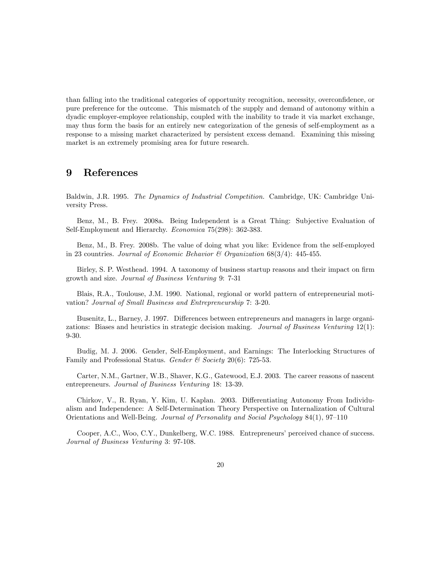than falling into the traditional categories of opportunity recognition, necessity, overconfidence, or pure preference for the outcome. This mismatch of the supply and demand of autonomy within a dyadic employer-employee relationship, coupled with the inability to trade it via market exchange, may thus form the basis for an entirely new categorization of the genesis of self-employment as a response to a missing market characterized by persistent excess demand. Examining this missing market is an extremely promising area for future research.

### 9 References

Baldwin, J.R. 1995. The Dynamics of Industrial Competition. Cambridge, UK: Cambridge University Press.

Benz, M., B. Frey. 2008a. Being Independent is a Great Thing: Subjective Evaluation of Self-Employment and Hierarchy. Economica 75(298): 362-383.

Benz, M., B. Frey. 2008b. The value of doing what you like: Evidence from the self-employed in 23 countries. Journal of Economic Behavior & Organization  $68(3/4)$ : 445-455.

Birley, S. P. Westhead. 1994. A taxonomy of business startup reasons and their impact on firm growth and size. Journal of Business Venturing 9: 7-31

Blais, R.A., Toulouse, J.M. 1990. National, regional or world pattern of entrepreneurial motivation? Journal of Small Business and Entrepreneurship 7: 3-20.

Busenitz, L., Barney, J. 1997. Differences between entrepreneurs and managers in large organizations: Biases and heuristics in strategic decision making. Journal of Business Venturing 12(1): 9-30.

Budig, M. J. 2006. Gender, Self-Employment, and Earnings: The Interlocking Structures of Family and Professional Status. Gender & Society 20(6): 725-53.

Carter, N.M., Gartner, W.B., Shaver, K.G., Gatewood, E.J. 2003. The career reasons of nascent entrepreneurs. Journal of Business Venturing 18: 13-39.

Chirkov, V., R. Ryan, Y. Kim, U. Kaplan. 2003. Differentiating Autonomy From Individualism and Independence: A Self-Determination Theory Perspective on Internalization of Cultural Orientations and Well-Being. *Journal of Personality and Social Psychology* 84(1), 97–110

Cooper, A.C., Woo, C.Y., Dunkelberg, W.C. 1988. Entrepreneurs' perceived chance of success. Journal of Business Venturing 3: 97-108.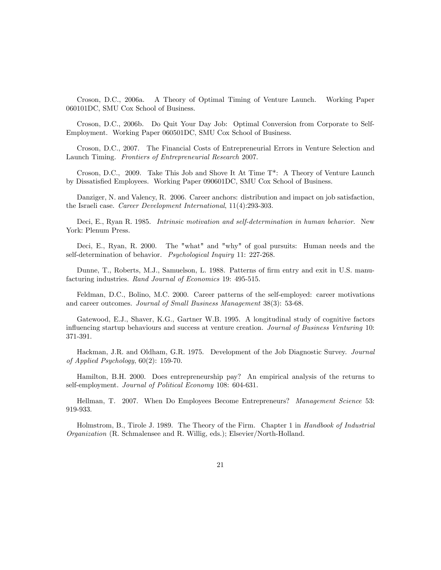Croson, D.C., 2006a. A Theory of Optimal Timing of Venture Launch. Working Paper 060101DC, SMU Cox School of Business.

Croson, D.C., 2006b. Do Quit Your Day Job: Optimal Conversion from Corporate to Self-Employment. Working Paper 060501DC, SMU Cox School of Business.

Croson, D.C., 2007. The Financial Costs of Entrepreneurial Errors in Venture Selection and Launch Timing. Frontiers of Entrepreneurial Research 2007.

Croson, D.C., 2009. Take This Job and Shove It At Time T\*: A Theory of Venture Launch by Dissatisfied Employees. Working Paper 090601DC, SMU Cox School of Business.

Danziger, N. and Valency, R. 2006. Career anchors: distribution and impact on job satisfaction, the Israeli case. Career Development International, 11(4):293-303.

Deci, E., Ryan R. 1985. Intrinsic motivation and self-determination in human behavior. New York: Plenum Press.

Deci, E., Ryan, R. 2000. The "what" and "why" of goal pursuits: Human needs and the self-determination of behavior. *Psychological Inquiry* 11: 227-268.

Dunne, T., Roberts, M.J., Samuelson, L. 1988. Patterns of firm entry and exit in U.S. manufacturing industries. Rand Journal of Economics 19: 495-515.

Feldman, D.C., Bolino, M.C. 2000. Career patterns of the self-employed: career motivations and career outcomes. Journal of Small Business Management 38(3): 53-68.

Gatewood, E.J., Shaver, K.G., Gartner W.B. 1995. A longitudinal study of cognitive factors influencing startup behaviours and success at venture creation. Journal of Business Venturing 10: 371-391.

Hackman, J.R. and Oldham, G.R. 1975. Development of the Job Diagnostic Survey. Journal of Applied Psychology, 60(2): 159-70.

Hamilton, B.H. 2000. Does entrepreneurship pay? An empirical analysis of the returns to self-employment. *Journal of Political Economy* 108: 604-631.

Hellman, T. 2007. When Do Employees Become Entrepreneurs? Management Science 53: 919-933.

Holmstrom, B., Tirole J. 1989. The Theory of the Firm. Chapter 1 in Handbook of Industrial Organization (R. Schmalensee and R. Willig, eds.); Elsevier/North-Holland.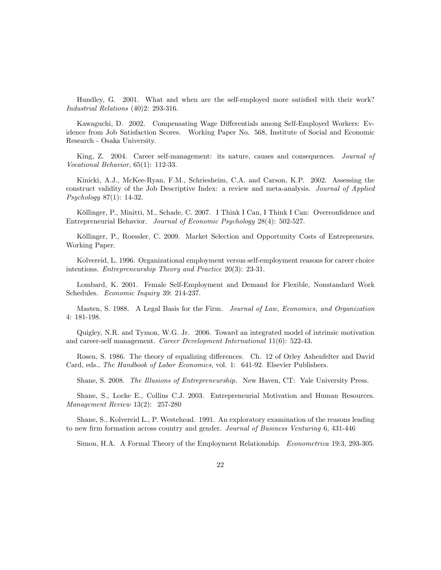Hundley, G. 2001. What and when are the self-employed more satisfied with their work? Industrial Relations (40)2: 293-316.

Kawaguchi, D. 2002. Compensating Wage Differentials among Self-Employed Workers: Evidence from Job Satisfaction Scores. Working Paper No. 568, Institute of Social and Economic Research - Osaka University.

King, Z. 2004. Career self-management: its nature, causes and consequences. Journal of Vocational Behavior, 65(1): 112-33.

Kinicki, A.J., McKee-Ryan, F.M., Schriesheim, C.A. and Carson, K.P. 2002. Assessing the construct validity of the Job Descriptive Index: a review and meta-analysis. Journal of Applied Psychology 87(1): 14-32.

Köllinger, P., Minitti, M., Schade, C. 2007. I Think I Can, I Think I Can: Overconfidence and Entrepreneurial Behavior. Journal of Economic Psychology 28(4): 502-527.

Köllinger, P., Roessler, C. 2009. Market Selection and Opportunity Costs of Entrepreneurs. Working Paper.

Kolvereid, L. 1996. Organizational employment versus self-employment reasons for career choice intentions. Entrepreneurship Theory and Practice 20(3): 23-31.

Lombard, K. 2001. Female Self-Employment and Demand for Flexible, Nonstandard Work Schedules. Economic Inquiry 39: 214-237.

Masten, S. 1988. A Legal Basis for the Firm. Journal of Law, Economics, and Organization 4: 181-198.

Quigley, N.R. and Tymon, W.G. Jr. 2006. Toward an integrated model of intrinsic motivation and career-self management. Career Development International 11(6): 522-43.

Rosen, S. 1986. The theory of equalizing differences. Ch. 12 of Orley Ashenfelter and David Card, eds., *The Handbook of Labor Economics*, vol. 1: 641-92. Elsevier Publishers.

Shane, S. 2008. The Illusions of Entrepreneurship. New Haven, CT: Yale University Press.

Shane, S., Locke E., Collins C.J. 2003. Entrepreneurial Motivation and Human Resources. Management Review 13(2): 257-280

Shane, S., Kolvereid L., P. Westehead. 1991. An exploratory examination of the reasons leading to new firm formation across country and gender. Journal of Business Venturing 6, 431-446

Simon, H.A. A Formal Theory of the Employment Relationship. Econometrica 19:3, 293-305.